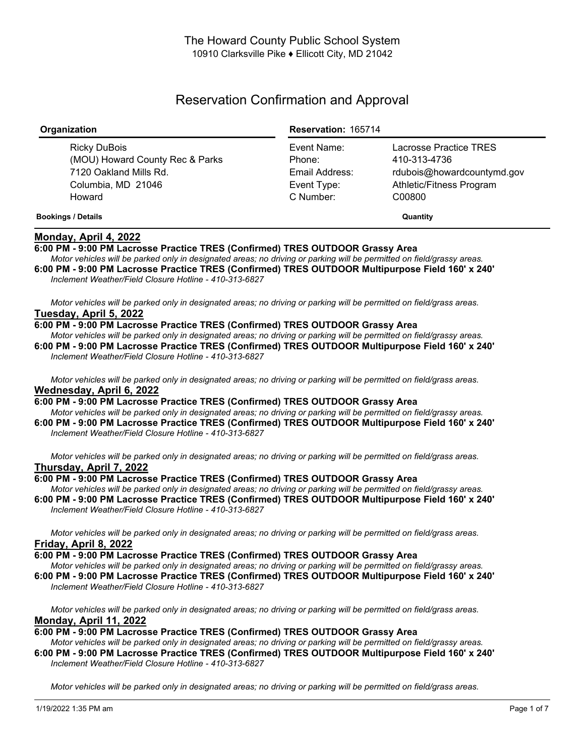# Reservation Confirmation and Approval

| Organization                                                                                              | <b>Reservation: 165714</b>                                          |                                                                                                            |
|-----------------------------------------------------------------------------------------------------------|---------------------------------------------------------------------|------------------------------------------------------------------------------------------------------------|
| Ricky DuBois<br>(MOU) Howard County Rec & Parks<br>7120 Oakland Mills Rd.<br>Columbia, MD 21046<br>Howard | Event Name:<br>Phone:<br>Email Address:<br>Event Type:<br>C Number: | Lacrosse Practice TRES<br>410-313-4736<br>rdubois@howardcountymd.gov<br>Athletic/Fitness Program<br>C00800 |
| <b>Bookings / Details</b>                                                                                 |                                                                     | Quantity                                                                                                   |

## **Monday, April 4, 2022**

## **6:00 PM - 9:00 PM Lacrosse Practice TRES (Confirmed) TRES OUTDOOR Grassy Area**

Motor vehicles will be parked only in designated areas; no driving or parking will be permitted on field/grassy areas. **6:00 PM - 9:00 PM Lacrosse Practice TRES (Confirmed) TRES OUTDOOR Multipurpose Field 160' x 240'** *Inclement Weather/Field Closure Hotline - 410-313-6827*

Motor vehicles will be parked only in designated areas; no driving or parking will be permitted on field/grass areas. **Tuesday, April 5, 2022**

#### **6:00 PM - 9:00 PM Lacrosse Practice TRES (Confirmed) TRES OUTDOOR Grassy Area**

Motor vehicles will be parked only in designated areas; no driving or parking will be permitted on field/grassy areas. **6:00 PM - 9:00 PM Lacrosse Practice TRES (Confirmed) TRES OUTDOOR Multipurpose Field 160' x 240'** *Inclement Weather/Field Closure Hotline - 410-313-6827*

Motor vehicles will be parked only in designated areas; no driving or parking will be permitted on field/grass areas. **Wednesday, April 6, 2022**

**6:00 PM - 9:00 PM Lacrosse Practice TRES (Confirmed) TRES OUTDOOR Grassy Area** Motor vehicles will be parked only in designated areas; no driving or parking will be permitted on field/grassy areas.

**6:00 PM - 9:00 PM Lacrosse Practice TRES (Confirmed) TRES OUTDOOR Multipurpose Field 160' x 240'** *Inclement Weather/Field Closure Hotline - 410-313-6827*

Motor vehicles will be parked only in designated areas; no driving or parking will be permitted on field/grass areas. **Thursday, April 7, 2022**

## **6:00 PM - 9:00 PM Lacrosse Practice TRES (Confirmed) TRES OUTDOOR Grassy Area**

Motor vehicles will be parked only in designated areas; no driving or parking will be permitted on field/grassy areas. **6:00 PM - 9:00 PM Lacrosse Practice TRES (Confirmed) TRES OUTDOOR Multipurpose Field 160' x 240'** *Inclement Weather/Field Closure Hotline - 410-313-6827*

Motor vehicles will be parked only in designated areas; no driving or parking will be permitted on field/grass areas. **Friday, April 8, 2022**

**6:00 PM - 9:00 PM Lacrosse Practice TRES (Confirmed) TRES OUTDOOR Grassy Area**

Motor vehicles will be parked only in designated areas; no driving or parking will be permitted on field/grassy areas.

**6:00 PM - 9:00 PM Lacrosse Practice TRES (Confirmed) TRES OUTDOOR Multipurpose Field 160' x 240'** *Inclement Weather/Field Closure Hotline - 410-313-6827*

Motor vehicles will be parked only in designated areas; no driving or parking will be permitted on field/grass areas. **Monday, April 11, 2022**

**6:00 PM - 9:00 PM Lacrosse Practice TRES (Confirmed) TRES OUTDOOR Grassy Area**

Motor vehicles will be parked only in designated areas: no driving or parking will be permitted on field/grassy areas. **6:00 PM - 9:00 PM Lacrosse Practice TRES (Confirmed) TRES OUTDOOR Multipurpose Field 160' x 240'** *Inclement Weather/Field Closure Hotline - 410-313-6827*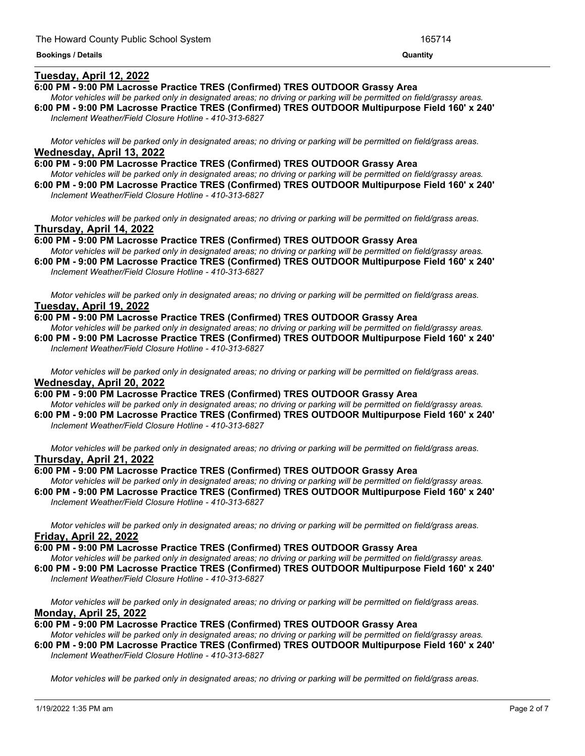## **Tuesday, April 12, 2022**

## **6:00 PM - 9:00 PM Lacrosse Practice TRES (Confirmed) TRES OUTDOOR Grassy Area**

Motor vehicles will be parked only in designated areas; no driving or parking will be permitted on field/grassy areas. **6:00 PM - 9:00 PM Lacrosse Practice TRES (Confirmed) TRES OUTDOOR Multipurpose Field 160' x 240'** *Inclement Weather/Field Closure Hotline - 410-313-6827*

<u> 1989 - Andrea Andrew Maria (h. 1989).</u>

Motor vehicles will be parked only in designated areas; no driving or parking will be permitted on field/grass areas. **Wednesday, April 13, 2022**

**6:00 PM - 9:00 PM Lacrosse Practice TRES (Confirmed) TRES OUTDOOR Grassy Area** Motor vehicles will be parked only in designated areas; no driving or parking will be permitted on field/grassy areas. **6:00 PM - 9:00 PM Lacrosse Practice TRES (Confirmed) TRES OUTDOOR Multipurpose Field 160' x 240'**

*Inclement Weather/Field Closure Hotline - 410-313-6827*

Motor vehicles will be parked only in designated areas; no driving or parking will be permitted on field/grass areas. **Thursday, April 14, 2022**

**6:00 PM - 9:00 PM Lacrosse Practice TRES (Confirmed) TRES OUTDOOR Grassy Area** Motor vehicles will be parked only in designated areas; no driving or parking will be permitted on field/grassy areas. **6:00 PM - 9:00 PM Lacrosse Practice TRES (Confirmed) TRES OUTDOOR Multipurpose Field 160' x 240'**

*Inclement Weather/Field Closure Hotline - 410-313-6827*

Motor vehicles will be parked only in designated areas; no driving or parking will be permitted on field/grass areas. **Tuesday, April 19, 2022**

**6:00 PM - 9:00 PM Lacrosse Practice TRES (Confirmed) TRES OUTDOOR Grassy Area**

Motor vehicles will be parked only in designated areas: no driving or parking will be permitted on field/grassy areas. **6:00 PM - 9:00 PM Lacrosse Practice TRES (Confirmed) TRES OUTDOOR Multipurpose Field 160' x 240'** *Inclement Weather/Field Closure Hotline - 410-313-6827*

Motor vehicles will be parked only in designated areas; no driving or parking will be permitted on field/grass areas. **Wednesday, April 20, 2022**

**6:00 PM - 9:00 PM Lacrosse Practice TRES (Confirmed) TRES OUTDOOR Grassy Area** Motor vehicles will be parked only in designated areas; no driving or parking will be permitted on field/grassy areas. **6:00 PM - 9:00 PM Lacrosse Practice TRES (Confirmed) TRES OUTDOOR Multipurpose Field 160' x 240'**

*Inclement Weather/Field Closure Hotline - 410-313-6827*

Motor vehicles will be parked only in designated areas; no driving or parking will be permitted on field/grass areas. **Thursday, April 21, 2022**

## **6:00 PM - 9:00 PM Lacrosse Practice TRES (Confirmed) TRES OUTDOOR Grassy Area**

Motor vehicles will be parked only in designated areas; no driving or parking will be permitted on field/grassy areas. **6:00 PM - 9:00 PM Lacrosse Practice TRES (Confirmed) TRES OUTDOOR Multipurpose Field 160' x 240'** *Inclement Weather/Field Closure Hotline - 410-313-6827*

Motor vehicles will be parked only in designated areas; no driving or parking will be permitted on field/grass areas. **Friday, April 22, 2022**

**6:00 PM - 9:00 PM Lacrosse Practice TRES (Confirmed) TRES OUTDOOR Grassy Area**

Motor vehicles will be parked only in designated areas; no driving or parking will be permitted on field/grassy areas. **6:00 PM - 9:00 PM Lacrosse Practice TRES (Confirmed) TRES OUTDOOR Multipurpose Field 160' x 240'** *Inclement Weather/Field Closure Hotline - 410-313-6827*

Motor vehicles will be parked only in designated areas; no driving or parking will be permitted on field/grass areas. **Monday, April 25, 2022**

## **6:00 PM - 9:00 PM Lacrosse Practice TRES (Confirmed) TRES OUTDOOR Grassy Area**

Motor vehicles will be parked only in designated areas; no driving or parking will be permitted on field/grassy areas. **6:00 PM - 9:00 PM Lacrosse Practice TRES (Confirmed) TRES OUTDOOR Multipurpose Field 160' x 240'** *Inclement Weather/Field Closure Hotline - 410-313-6827*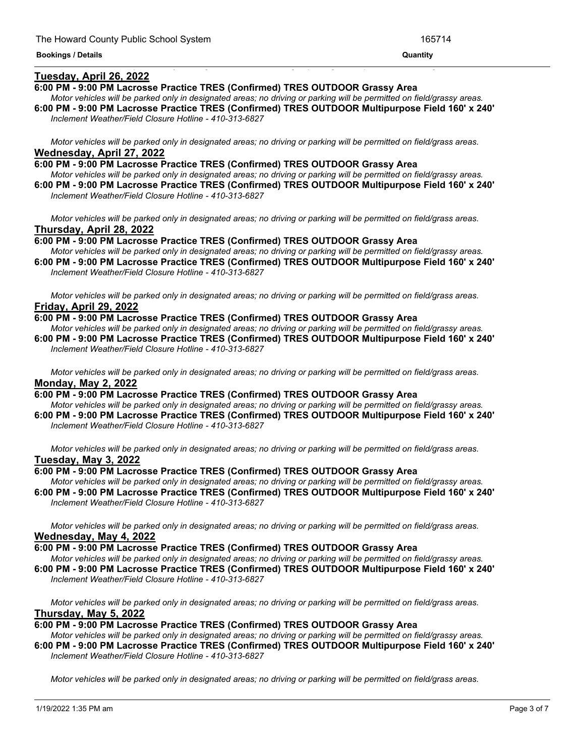## **Tuesday, April 26, 2022**

#### **6:00 PM - 9:00 PM Lacrosse Practice TRES (Confirmed) TRES OUTDOOR Grassy Area**

Motor vehicles will be parked only in designated areas; no driving or parking will be permitted on field/grassy areas. **6:00 PM - 9:00 PM Lacrosse Practice TRES (Confirmed) TRES OUTDOOR Multipurpose Field 160' x 240'**

<u> 1999 - Jan James James James James James James James James James James James James James James James James J</u>

*Inclement Weather/Field Closure Hotline - 410-313-6827*

Motor vehicles will be parked only in designated areas; no driving or parking will be permitted on field/grass areas. **Wednesday, April 27, 2022**

**6:00 PM - 9:00 PM Lacrosse Practice TRES (Confirmed) TRES OUTDOOR Grassy Area** Motor vehicles will be parked only in designated areas; no driving or parking will be permitted on field/grassy areas. **6:00 PM - 9:00 PM Lacrosse Practice TRES (Confirmed) TRES OUTDOOR Multipurpose Field 160' x 240'** *Inclement Weather/Field Closure Hotline - 410-313-6827*

Motor vehicles will be parked only in designated areas; no driving or parking will be permitted on field/grass areas. **Thursday, April 28, 2022**

**6:00 PM - 9:00 PM Lacrosse Practice TRES (Confirmed) TRES OUTDOOR Grassy Area** Motor vehicles will be parked only in designated areas; no driving or parking will be permitted on field/grassy areas. **6:00 PM - 9:00 PM Lacrosse Practice TRES (Confirmed) TRES OUTDOOR Multipurpose Field 160' x 240'**

*Inclement Weather/Field Closure Hotline - 410-313-6827*

Motor vehicles will be parked only in designated areas; no driving or parking will be permitted on field/grass areas. **Friday, April 29, 2022**

**6:00 PM - 9:00 PM Lacrosse Practice TRES (Confirmed) TRES OUTDOOR Grassy Area**

Motor vehicles will be parked only in designated areas; no driving or parking will be permitted on field/grassy areas. **6:00 PM - 9:00 PM Lacrosse Practice TRES (Confirmed) TRES OUTDOOR Multipurpose Field 160' x 240'** *Inclement Weather/Field Closure Hotline - 410-313-6827*

Motor vehicles will be parked only in designated areas; no driving or parking will be permitted on field/grass areas. **Monday, May 2, 2022**

**6:00 PM - 9:00 PM Lacrosse Practice TRES (Confirmed) TRES OUTDOOR Grassy Area** Motor vehicles will be parked only in designated areas; no driving or parking will be permitted on field/grassy areas.

**6:00 PM - 9:00 PM Lacrosse Practice TRES (Confirmed) TRES OUTDOOR Multipurpose Field 160' x 240'** *Inclement Weather/Field Closure Hotline - 410-313-6827*

Motor vehicles will be parked only in designated areas; no driving or parking will be permitted on field/grass areas. **Tuesday, May 3, 2022**

## **6:00 PM - 9:00 PM Lacrosse Practice TRES (Confirmed) TRES OUTDOOR Grassy Area**

Motor vehicles will be parked only in designated areas; no driving or parking will be permitted on field/grassy areas. **6:00 PM - 9:00 PM Lacrosse Practice TRES (Confirmed) TRES OUTDOOR Multipurpose Field 160' x 240'** *Inclement Weather/Field Closure Hotline - 410-313-6827*

Motor vehicles will be parked only in designated areas; no driving or parking will be permitted on field/grass areas. **Wednesday, May 4, 2022**

**6:00 PM - 9:00 PM Lacrosse Practice TRES (Confirmed) TRES OUTDOOR Grassy Area**

Motor vehicles will be parked only in designated areas; no driving or parking will be permitted on field/grassy areas. **6:00 PM - 9:00 PM Lacrosse Practice TRES (Confirmed) TRES OUTDOOR Multipurpose Field 160' x 240'** *Inclement Weather/Field Closure Hotline - 410-313-6827*

Motor vehicles will be parked only in designated areas; no driving or parking will be permitted on field/grass areas. **Thursday, May 5, 2022**

**6:00 PM - 9:00 PM Lacrosse Practice TRES (Confirmed) TRES OUTDOOR Grassy Area**

Motor vehicles will be parked only in designated areas; no driving or parking will be permitted on field/grassy areas. **6:00 PM - 9:00 PM Lacrosse Practice TRES (Confirmed) TRES OUTDOOR Multipurpose Field 160' x 240'** *Inclement Weather/Field Closure Hotline - 410-313-6827*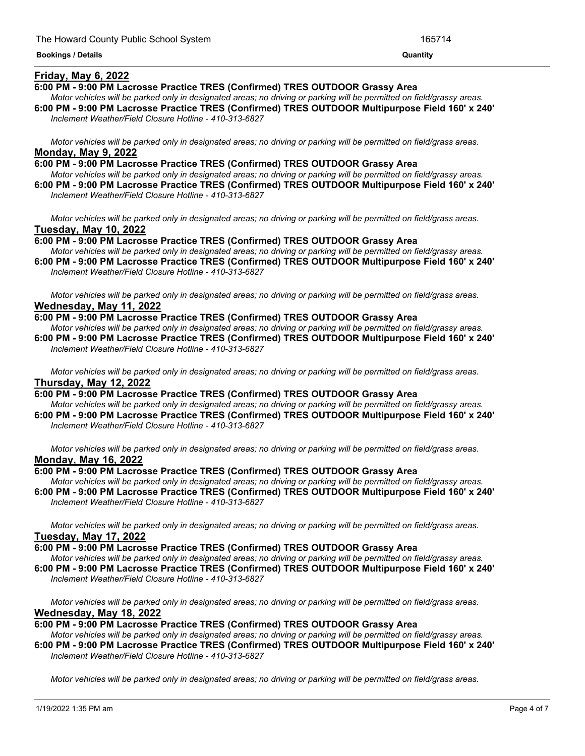### **Friday, May 6, 2022**

#### **6:00 PM - 9:00 PM Lacrosse Practice TRES (Confirmed) TRES OUTDOOR Grassy Area**

Motor vehicles will be parked only in designated areas; no driving or parking will be permitted on field/grassy areas. **6:00 PM - 9:00 PM Lacrosse Practice TRES (Confirmed) TRES OUTDOOR Multipurpose Field 160' x 240'**

<u> 1989 - Andrea Andrew Maria (h. 1989).</u>

*Inclement Weather/Field Closure Hotline - 410-313-6827*

Motor vehicles will be parked only in designated areas; no driving or parking will be permitted on field/grass areas. **Monday, May 9, 2022**

**6:00 PM - 9:00 PM Lacrosse Practice TRES (Confirmed) TRES OUTDOOR Grassy Area** Motor vehicles will be parked only in designated areas; no driving or parking will be permitted on field/grassy areas.

**6:00 PM - 9:00 PM Lacrosse Practice TRES (Confirmed) TRES OUTDOOR Multipurpose Field 160' x 240'** *Inclement Weather/Field Closure Hotline - 410-313-6827*

Motor vehicles will be parked only in designated areas; no driving or parking will be permitted on field/grass areas. **Tuesday, May 10, 2022**

**6:00 PM - 9:00 PM Lacrosse Practice TRES (Confirmed) TRES OUTDOOR Grassy Area** Motor vehicles will be parked only in designated areas; no driving or parking will be permitted on field/grassy areas. **6:00 PM - 9:00 PM Lacrosse Practice TRES (Confirmed) TRES OUTDOOR Multipurpose Field 160' x 240'**

*Inclement Weather/Field Closure Hotline - 410-313-6827*

Motor vehicles will be parked only in designated areas; no driving or parking will be permitted on field/grass areas. **Wednesday, May 11, 2022**

**6:00 PM - 9:00 PM Lacrosse Practice TRES (Confirmed) TRES OUTDOOR Grassy Area**

Motor vehicles will be parked only in designated areas; no driving or parking will be permitted on field/grassy areas. **6:00 PM - 9:00 PM Lacrosse Practice TRES (Confirmed) TRES OUTDOOR Multipurpose Field 160' x 240'** *Inclement Weather/Field Closure Hotline - 410-313-6827*

Motor vehicles will be parked only in designated areas; no driving or parking will be permitted on field/grass areas. **Thursday, May 12, 2022**

**6:00 PM - 9:00 PM Lacrosse Practice TRES (Confirmed) TRES OUTDOOR Grassy Area**

Motor vehicles will be parked only in designated areas; no driving or parking will be permitted on field/grassy areas. **6:00 PM - 9:00 PM Lacrosse Practice TRES (Confirmed) TRES OUTDOOR Multipurpose Field 160' x 240'** *Inclement Weather/Field Closure Hotline - 410-313-6827*

Motor vehicles will be parked only in designated areas; no driving or parking will be permitted on field/grass areas. **Monday, May 16, 2022**

## **6:00 PM - 9:00 PM Lacrosse Practice TRES (Confirmed) TRES OUTDOOR Grassy Area**

Motor vehicles will be parked only in designated areas; no driving or parking will be permitted on field/grassy areas. **6:00 PM - 9:00 PM Lacrosse Practice TRES (Confirmed) TRES OUTDOOR Multipurpose Field 160' x 240'** *Inclement Weather/Field Closure Hotline - 410-313-6827*

Motor vehicles will be parked only in designated areas; no driving or parking will be permitted on field/grass areas. **Tuesday, May 17, 2022**

**6:00 PM - 9:00 PM Lacrosse Practice TRES (Confirmed) TRES OUTDOOR Grassy Area**

Motor vehicles will be parked only in designated areas; no driving or parking will be permitted on field/grassy areas. **6:00 PM - 9:00 PM Lacrosse Practice TRES (Confirmed) TRES OUTDOOR Multipurpose Field 160' x 240'** *Inclement Weather/Field Closure Hotline - 410-313-6827*

Motor vehicles will be parked only in designated areas; no driving or parking will be permitted on field/grass areas. **Wednesday, May 18, 2022**

**6:00 PM - 9:00 PM Lacrosse Practice TRES (Confirmed) TRES OUTDOOR Grassy Area**

Motor vehicles will be parked only in designated areas; no driving or parking will be permitted on field/grassy areas. **6:00 PM - 9:00 PM Lacrosse Practice TRES (Confirmed) TRES OUTDOOR Multipurpose Field 160' x 240'** *Inclement Weather/Field Closure Hotline - 410-313-6827*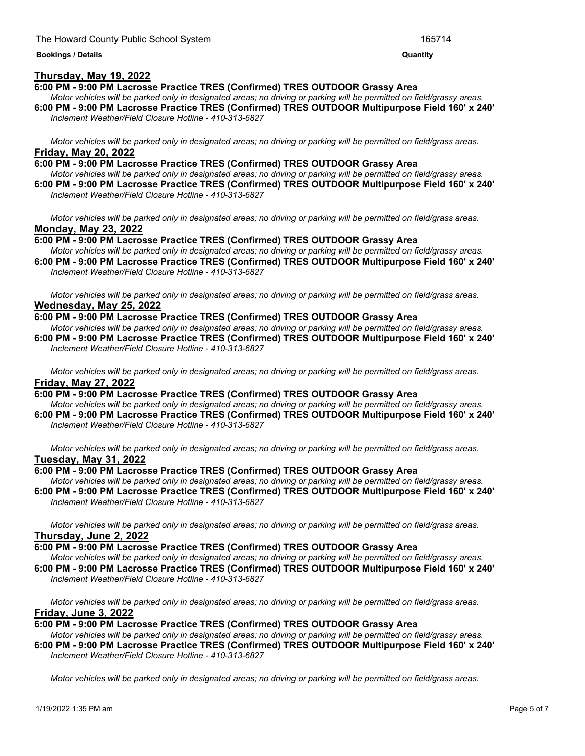### **Thursday, May 19, 2022**

#### **6:00 PM - 9:00 PM Lacrosse Practice TRES (Confirmed) TRES OUTDOOR Grassy Area**

- Motor vehicles will be parked only in designated areas; no driving or parking will be permitted on field/grassy areas. **6:00 PM - 9:00 PM Lacrosse Practice TRES (Confirmed) TRES OUTDOOR Multipurpose Field 160' x 240'**
- *Inclement Weather/Field Closure Hotline - 410-313-6827*

Motor vehicles will be parked only in designated areas; no driving or parking will be permitted on field/grass areas. **Friday, May 20, 2022**

**6:00 PM - 9:00 PM Lacrosse Practice TRES (Confirmed) TRES OUTDOOR Grassy Area** Motor vehicles will be parked only in designated areas; no driving or parking will be permitted on field/grassy areas.

**6:00 PM - 9:00 PM Lacrosse Practice TRES (Confirmed) TRES OUTDOOR Multipurpose Field 160' x 240'** *Inclement Weather/Field Closure Hotline - 410-313-6827*

Motor vehicles will be parked only in designated areas; no driving or parking will be permitted on field/grass areas. **Monday, May 23, 2022**

**6:00 PM - 9:00 PM Lacrosse Practice TRES (Confirmed) TRES OUTDOOR Grassy Area** Motor vehicles will be parked only in designated areas; no driving or parking will be permitted on field/grassy areas. **6:00 PM - 9:00 PM Lacrosse Practice TRES (Confirmed) TRES OUTDOOR Multipurpose Field 160' x 240'**

*Inclement Weather/Field Closure Hotline - 410-313-6827*

Motor vehicles will be parked only in designated areas; no driving or parking will be permitted on field/grass areas. **Wednesday, May 25, 2022**

**6:00 PM - 9:00 PM Lacrosse Practice TRES (Confirmed) TRES OUTDOOR Grassy Area**

Motor vehicles will be parked only in designated areas: no driving or parking will be permitted on field/grassy areas. **6:00 PM - 9:00 PM Lacrosse Practice TRES (Confirmed) TRES OUTDOOR Multipurpose Field 160' x 240'** *Inclement Weather/Field Closure Hotline - 410-313-6827*

Motor vehicles will be parked only in designated areas; no driving or parking will be permitted on field/grass areas. **Friday, May 27, 2022**

**6:00 PM - 9:00 PM Lacrosse Practice TRES (Confirmed) TRES OUTDOOR Grassy Area** Motor vehicles will be parked only in designated areas; no driving or parking will be permitted on field/grassy areas.

**6:00 PM - 9:00 PM Lacrosse Practice TRES (Confirmed) TRES OUTDOOR Multipurpose Field 160' x 240'** *Inclement Weather/Field Closure Hotline - 410-313-6827*

Motor vehicles will be parked only in designated areas; no driving or parking will be permitted on field/grass areas. **Tuesday, May 31, 2022**

## **6:00 PM - 9:00 PM Lacrosse Practice TRES (Confirmed) TRES OUTDOOR Grassy Area**

Motor vehicles will be parked only in designated areas; no driving or parking will be permitted on field/grassy areas. **6:00 PM - 9:00 PM Lacrosse Practice TRES (Confirmed) TRES OUTDOOR Multipurpose Field 160' x 240'** *Inclement Weather/Field Closure Hotline - 410-313-6827*

Motor vehicles will be parked only in designated areas; no driving or parking will be permitted on field/grass areas. **Thursday, June 2, 2022**

**6:00 PM - 9:00 PM Lacrosse Practice TRES (Confirmed) TRES OUTDOOR Grassy Area**

Motor vehicles will be parked only in designated areas; no driving or parking will be permitted on field/grassy areas. **6:00 PM - 9:00 PM Lacrosse Practice TRES (Confirmed) TRES OUTDOOR Multipurpose Field 160' x 240'**

*Inclement Weather/Field Closure Hotline - 410-313-6827*

Motor vehicles will be parked only in designated areas; no driving or parking will be permitted on field/grass areas. **Friday, June 3, 2022**

**6:00 PM - 9:00 PM Lacrosse Practice TRES (Confirmed) TRES OUTDOOR Grassy Area**

Motor vehicles will be parked only in designated areas; no driving or parking will be permitted on field/grassy areas. **6:00 PM - 9:00 PM Lacrosse Practice TRES (Confirmed) TRES OUTDOOR Multipurpose Field 160' x 240'** *Inclement Weather/Field Closure Hotline - 410-313-6827*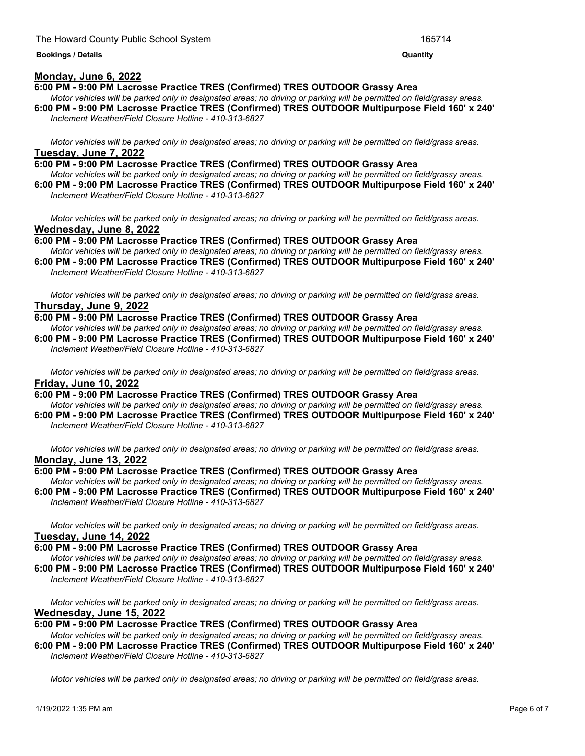#### **Monday, June 6, 2022**

#### **6:00 PM - 9:00 PM Lacrosse Practice TRES (Confirmed) TRES OUTDOOR Grassy Area**

Motor vehicles will be parked only in designated areas; no driving or parking will be permitted on field/grassy areas. **6:00 PM - 9:00 PM Lacrosse Practice TRES (Confirmed) TRES OUTDOOR Multipurpose Field 160' x 240'**

<u> 1989 - Andrea Andrea Andrea Andrea Andrea Andrea Andrea Andrea Andrea Andrea Andrea Andrea Andrea Andrea Andr</u>

*Inclement Weather/Field Closure Hotline - 410-313-6827*

Motor vehicles will be parked only in designated areas; no driving or parking will be permitted on field/grass areas. **Tuesday, June 7, 2022**

**6:00 PM - 9:00 PM Lacrosse Practice TRES (Confirmed) TRES OUTDOOR Grassy Area** Motor vehicles will be parked only in designated areas; no driving or parking will be permitted on field/grassy areas.

**6:00 PM - 9:00 PM Lacrosse Practice TRES (Confirmed) TRES OUTDOOR Multipurpose Field 160' x 240'** *Inclement Weather/Field Closure Hotline - 410-313-6827*

Motor vehicles will be parked only in designated areas; no driving or parking will be permitted on field/grass areas. **Wednesday, June 8, 2022**

**6:00 PM - 9:00 PM Lacrosse Practice TRES (Confirmed) TRES OUTDOOR Grassy Area** Motor vehicles will be parked only in designated areas; no driving or parking will be permitted on field/grassy areas. **6:00 PM - 9:00 PM Lacrosse Practice TRES (Confirmed) TRES OUTDOOR Multipurpose Field 160' x 240'**

*Inclement Weather/Field Closure Hotline - 410-313-6827*

Motor vehicles will be parked only in designated areas; no driving or parking will be permitted on field/grass areas. **Thursday, June 9, 2022**

**6:00 PM - 9:00 PM Lacrosse Practice TRES (Confirmed) TRES OUTDOOR Grassy Area**

Motor vehicles will be parked only in designated areas; no driving or parking will be permitted on field/grassy areas. **6:00 PM - 9:00 PM Lacrosse Practice TRES (Confirmed) TRES OUTDOOR Multipurpose Field 160' x 240'** *Inclement Weather/Field Closure Hotline - 410-313-6827*

Motor vehicles will be parked only in designated areas; no driving or parking will be permitted on field/grass areas. **Friday, June 10, 2022**

**6:00 PM - 9:00 PM Lacrosse Practice TRES (Confirmed) TRES OUTDOOR Grassy Area** Motor vehicles will be parked only in designated areas; no driving or parking will be permitted on field/grassy areas.

**6:00 PM - 9:00 PM Lacrosse Practice TRES (Confirmed) TRES OUTDOOR Multipurpose Field 160' x 240'** *Inclement Weather/Field Closure Hotline - 410-313-6827*

Motor vehicles will be parked only in designated areas; no driving or parking will be permitted on field/grass areas. **Monday, June 13, 2022**

#### **6:00 PM - 9:00 PM Lacrosse Practice TRES (Confirmed) TRES OUTDOOR Grassy Area**

Motor vehicles will be parked only in designated areas; no driving or parking will be permitted on field/grassy areas. **6:00 PM - 9:00 PM Lacrosse Practice TRES (Confirmed) TRES OUTDOOR Multipurpose Field 160' x 240'** *Inclement Weather/Field Closure Hotline - 410-313-6827*

Motor vehicles will be parked only in designated areas; no driving or parking will be permitted on field/grass areas. **Tuesday, June 14, 2022**

**6:00 PM - 9:00 PM Lacrosse Practice TRES (Confirmed) TRES OUTDOOR Grassy Area**

Motor vehicles will be parked only in designated areas; no driving or parking will be permitted on field/grassy areas. **6:00 PM - 9:00 PM Lacrosse Practice TRES (Confirmed) TRES OUTDOOR Multipurpose Field 160' x 240'** *Inclement Weather/Field Closure Hotline - 410-313-6827*

Motor vehicles will be parked only in designated areas; no driving or parking will be permitted on field/grass areas. **Wednesday, June 15, 2022**

**6:00 PM - 9:00 PM Lacrosse Practice TRES (Confirmed) TRES OUTDOOR Grassy Area**

Motor vehicles will be parked only in designated areas; no driving or parking will be permitted on field/grassy areas. **6:00 PM - 9:00 PM Lacrosse Practice TRES (Confirmed) TRES OUTDOOR Multipurpose Field 160' x 240'** *Inclement Weather/Field Closure Hotline - 410-313-6827*